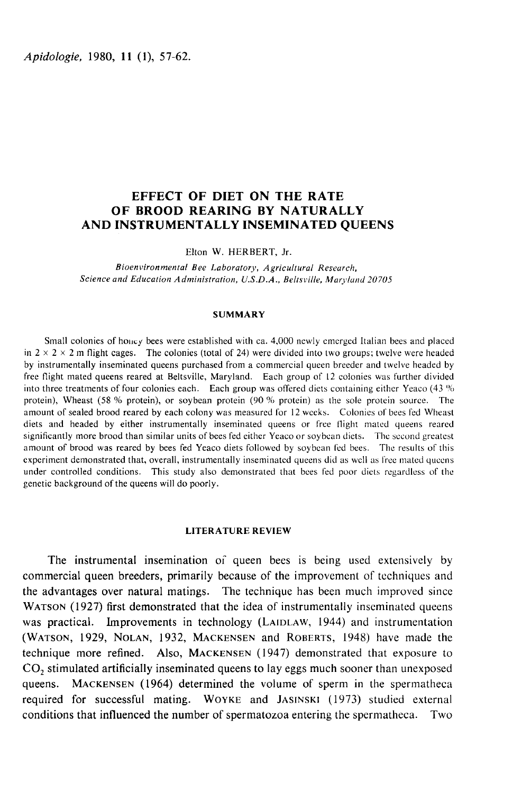Apidologie, 1980, 11 (1), 57-62.

# EFFECT OF DIET ON THE RATE OF BROOD REARING BY NATURALLY AND INSTRUMENTALLY INSEMINATED QUEENS

Elton W. HERBERT, Jr.

Bioenvironmental Bee Laboratory, Agricultural Research, Science and Education Administration, U.S.D.A., Beltsville, Maryland 20705

### SUMMARY

Small colonies of honey bees were established with ca. 4,000 newly emerged Italian bees and placed in  $2 \times 2 \times 2$  m flight cages. The colonies (total of 24) were divided into two groups; twelve were headed by instrumentally inseminated queens purchased from a commercial queen breeder and twelve headed by free flight mated queens reared at Beltsville, Maryland. Each group of l2 colonies was further divided into three treatments of four colonies each. Each group was offered diets containing either Yeaco (43 '% protein), Wheast (58 % protein), or soybean protein (90 % protein) as the sole protein source. The amount of sealed brood reared by each colony was measured for 12 weeks. Colonies of bees fed Wheast diets and headed by either instrumentally inseminated queens or free flight mated queens reared significantly more brood than similar units of bees fed either Yeaco or soybean diets. The second greatest amount of brood was reared by bees fed Yeaco diets followed by soybean fed bees. The results of this experiment demonstrated that, overall, instrumentally inseminated queens did as well as free mated queens under controlled conditions. This study also demonstrated that bees fed poor diets regardless of the genetic background of the queens will do poorly.

# LITERATURE REVIEW

The instrumental insemination of queen bees is being used extensively by commercial queen breeders, primarily because of the improvement of techniques and the advantages over natural matings. The technique has been much improved since The instrumental insemination of queen bees is being used extensively by<br>commercial queen breeders, primarily because of the improvement of techniques and<br>the advantages over natural matings. The technique has been much im Ine instrumental insemination of queen bees is being used extensively by<br>commercial queen breeders, primarily because of the improvement of techniques and<br>the advantages over natural matings. The technique has been much im commercial queen breeders, primarily because of the improvement of techniques and<br>the advantages over natural matings. The technique has been much improved since<br>WATSON (1927) first demonstrated that the idea of instrumen technique more refined. Also, MACKENSEN (1947) demonstrated that exposure to  $CO_2$  stimulated artificially inseminated queens to lay eggs much sooner than unexposed queens. MACKENSEN (1964) determined the volume of sperm WATSON (1927) first demonstrated that the idea of instrumentally inseminated queens<br>was practical. Improvements in technology (LAIDLAW, 1944) and instrumentation<br>(WATSON, 1929, NOLAN, 1932, MACKENSEN and ROBERTS, 1948) ha conditions that influenced the number of spermatozoa entering the spermatheca. Two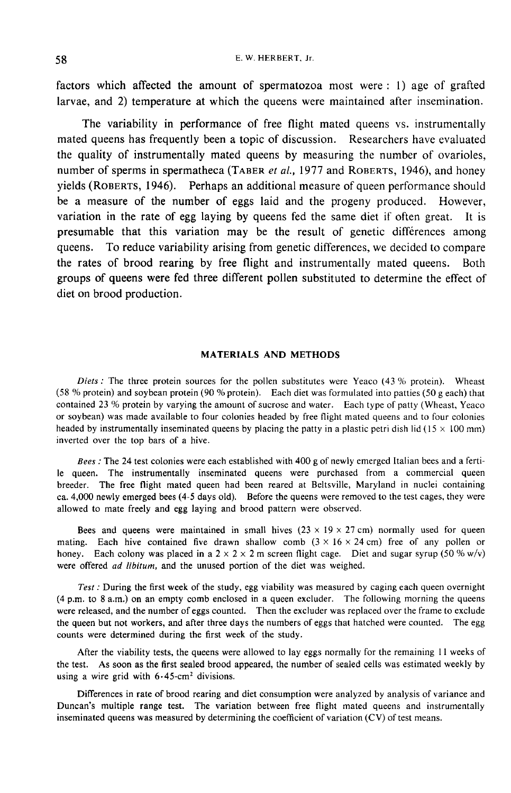E. W. HERBERT. Jr.

factors which affected the amount of spermatozoa most were : 1) age of grafted larvae, and 2) temperature at which the queens were maintained after insemination.

The variability in performance of free flight mated queens vs. instrumentally mated queens has frequently been a topic of discussion. Researchers have evaluated the quality of instrumentally mated queens by measuring the number of ovarioles, The variability in performance of free flight mated queens vs. instrumentally mated queens has frequently been a topic of discussion. Researchers have evaluated the quality of instrumentally mated queens by measuring the n The variability in performance of free fiight mated queens vs. instrumentally<br>mated queens has frequently been a topic of discussion. Researchers have evaluated<br>the quality of instrumentally mated queens by measuring the n be a measure of the number of eggs laid and the progeny produced. However, variation in the rate of egg laying by queens fed the same diet if often great. It is presumable that this variation may be the result of genetic differences among queens. To reduce variability arising from genetic differences, we decided to compare the rates of brood rearing by free flight and instrumentally mated queens. Both groups of queens were fed three different pollen substituted to determine the effect of diet on brood production.

### MATERIALS AND METHODS

Diets : The three protein sources for the pollen substitutes were Yeaco  $(43\% \text{ protein})$ . Wheast (58 % protein) and soybean protein (90 % protein). Each diet was formulated into patties (50 g each) that contained 23 '% protein by varying the amount of sucrose and water. Each type of patty (Wheast, Yeaco or soybean) was made available to four colonies headed by free flight mated queens and to four colonies headed by instrumentally inseminated queens by placing the patty in a plastic petri dish lid ( $15 \times 100$  mm) inverted over the top bars of a hive.

Bees : The 24 test colonies were each established with 400 g of newly emerged Italian bees and a fertile queen. The instrumentally inseminated queens were purchased from a commercial queen breeder. The free flight mated queen had been reared at Beltsville, Maryland in nuclei containing ca. 4,000 newly emerged bees (4-5 days old). Before the queens were removed to the test cages, they were allowed to mate freely and egg laying and brood pattern were observed.

Bees and queens were maintained in small hives  $(23 \times 19 \times 27 \text{ cm})$  normally used for queen mating. Each hive contained five drawn shallow comb  $(3 \times 16 \times 24 \text{ cm})$  free of any pollen or honey. Each colony was placed in a  $2 \times 2 \times 2$  m screen flight cage. Diet and sugar syrup (50 % w/v) were offered ad libitum, and the unused portion of the diet was weighed.

Test : During the first week of the study, egg viability was measured by caging each queen overnight (4 p.m. to 8 a.m.) on an empty comb enclosed in a queen excluder. The following morning the queens were released, and the number of eggs counted. Then the excluder was replaced over the frame to exclude the queen but not workers, and after three days the numbers of eggs that hatched were counted. The egg counts were determined during the first week of the study.

After the viability tests, the queens were allowed to lay eggs normally for the remaining 11 weeks of the test. As soon as the first sealed brood appeared, the number of sealed cells was estimated weekly by using a wire grid with  $6.45$ -cm<sup>2</sup> divisions.

Differences in rate of brood rearing and diet consumption were analyzed by analysis of variance and Duncan's multiple range test. The variation between free flight mated queens and instrumentally inseminated queens was measured by determining the coefficient of variation (CV) of test means.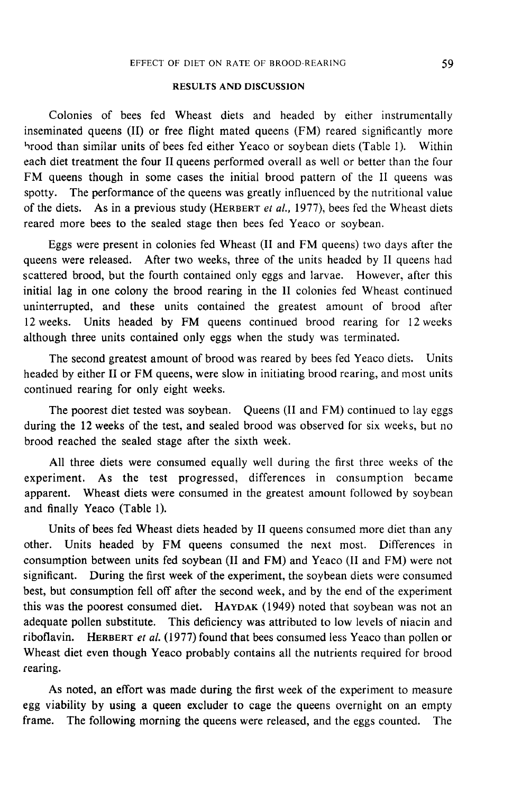# RESULTS AND DISCUSSION

Colonies of bees fed Wheast diets and headed by either instrumentally inseminated queens (II) or free flight mated queens (FM) reared significantly more hrood than similar units of bees fed either Yeaco or soybean diets (Table 1). Within each diet treatment the four II queens performed overall as well or better than the four FM queens though in some cases the initial brood pattern of the II queens was spotty. The performance of the queens was greatly influenced by the nutritional value of the diets. As in a previous study (HERBERT *et al.*, 1977), bees fed the Wheast diets reared more bees to the sealed stage then bees fed Yeaco or soybean.

Eggs were present in colonies fed Wheast (II and FM queens) two days after the queens were released. After two weeks, three of the units headed by Il queens had scattered brood, but the fourth contained only eggs and larvae. However, after this initial lag in one colony the brood rearing in the II colonies fed Wheast continued uninterrupted, and these units contained the greatest amount of brood after 12 weeks. Units headed by FM queens continued brood rearing for 12 weeks although three units contained only eggs when the study was terminated.

The second greatest amount of brood was reared by bees fed Yeaco diets. Units headed by either II or FM queens, were slow in initiating brood rearing, and most units continued rearing for only eight weeks.

The poorest diet tested was soybean. Queens (II and FM) continued to lay eggs during the 12 weeks of the test, and sealed brood was observed for six weeks, but no brood reached the sealed stage after the sixth week.

All three diets were consumed equally well during the first three weeks of the experiment. As the test progressed, differences in consumption became apparent. Wheast diets were consumed in the greatest amount followed by soybean and finally Yeaco (Table 1).

Units of bees fed Wheast diets headed by II queens consumed more diet than any other. Units headed by FM queens consumed the next most. Differences in consumption between units fed soybean (II and FM) and Yeaco (II and FM) were not significant. During the first week of the experiment, the soybean diets were consumed best, but consumption fell off after the second week, and by the end of the experiment consumption between units fed soybean (II and FM) and Yeaco (II and FM) were not<br>significant. During the first week of the experiment, the soybean diets were consumed<br>best, but consumption fell off after the second week, a adequate pollen substitute. This deficiency was attributed to low levels of niacin and this was the poorest consumed diet. HAYDAK (1949) noted that soybean was not an adequate pollen substitute. This deficiency was attributed to low levels of niacin and riboflavin. HERBERT *et al.* (1977) found that bees con Wheast diet even though Yeaco probably contains all the nutrients required for brood rearing.

As noted, an effort was made during the first week of the experiment to measure egg viability by using a queen excluder to cage the queens overnight on an empty frame. The following morning the queens were released, and the eggs counted. The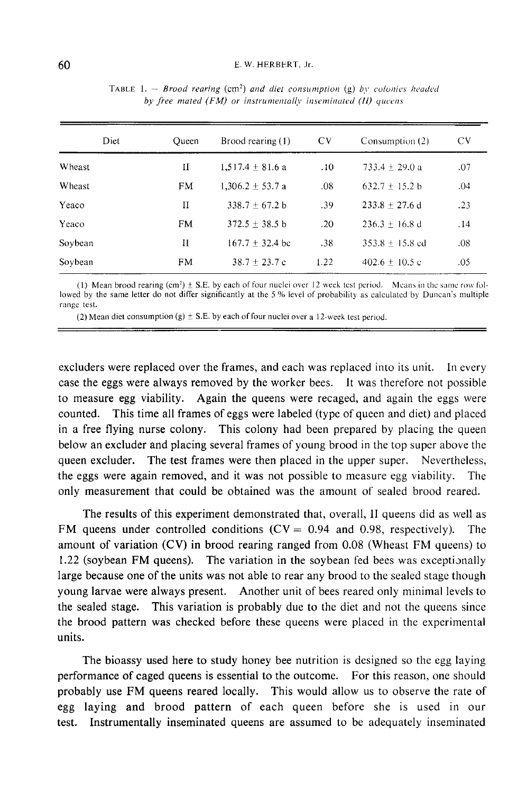#### E. W. HERBERT. Jr.

| Diet    | Oueen | Brood rearing $(1)$  | <b>CV</b> | Consumption (2)    | CV. |
|---------|-------|----------------------|-----------|--------------------|-----|
| Wheast  | И     | $1.517.4 \pm 81.6$ a | .10       | 733.4 $\pm$ 29.0 a | .07 |
| Wheast  | FM    | $1.306.2 \pm 53.7$ a | .08       | $632.7 \pm 15.2 b$ | .04 |
| Yeaco   | и     | $338.7 + 67.2 b$     | .39       | $233.8 + 27.6$ d   | .23 |
| Yeaco   | FM    | $372.5 + 38.5$ b     | .20       | $236.3 + 16.8$ d   | .14 |
| Soybean | П     | $167.7 + 32.4$ bc    | .38       | $353.8 + 15.8$ ed  | .08 |
| Soybean | FM    | $38.7 + 23.7c$       | 1.22      | $402.6 + 10.5c$    | -05 |

TABLE 1. - Brood rearing (cm<sup>2</sup>) and diet consumption (g) by colonies headed by free mated (FM) or instrumentally inseminated (II) queens

(1) Mean brood rearing  $(cm^2) \pm S.E.$  by each of four nuclei over 12 week test period. Means in the same row followed by the same letter do not differ significantly at the 5 % level of probability as calculated by Duncan's multiple range test.

(2) Mean diet consumption (g)  $\pm$  S.E. by each of four nuclei over a 12-week test period.

excluders were replaced over the frames, and each was replaced into its unit. In every case the eggs were always removed by the worker bees. It was therefore not possible to measure egg viability. Again the queens were recaged, and again the eggs were counted. This time all frames of eggs were labeled (type of queen and diet) and placed in a free flying nurse colony. This colony had been prepared by placing the queen below an excluder and placing several frames of young brood in the top super above the queen excluder. The test frames were then placed in the upper super. Nevertheless, the eggs were again removed, and it was not possible to measure egg viability. The only measurement that could be obtained was the amount of sealed brood reared.

The results of this experiment demonstrated that, overall, II queens did as well as FM queens under controlled conditions  $(CV = 0.94$  and 0.98, respectively). The amount of variation (CV) in brood rearing ranged from 0.08 (Wheast FM queens) to 1.22 (soybean FM queens). The variation in the soybean fed bees was exceptionally large because one of the units was not able to rear any brood to the sealed stage though young larvae were always present. Another unit of bees reared only minimal levels to the sealed stage. This variation is probably due to the diet and not the queens since the brood pattern was checked before these queens were placed in the experimental units.

The bioassy used here to study honey bee nutrition is designed so the egg laying performance of caged queens is essential to the outcome. For this reason, one should probably use FM queens reared locally. This would allow us to observe the rate of egg laying and brood pattern of each queen before she is used in our test. Instrumentally inseminated queens are assumed to be adequately inseminated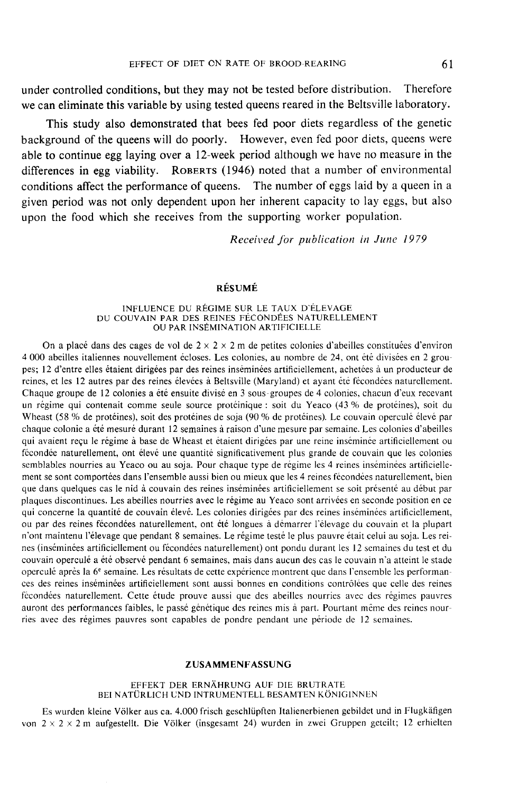under controlled conditions, but they may not be tested before distribution. Therefore we can eliminate this variable by using tested queens reared in the Beltsville laboratory.

This study also demonstrated that bees fed poor diets regardless of the genetic background of the queens will do poorly. However, even fed poor diets, queens were able to continue egg laying over a 12-week period although we have no measure in the differences in egg viability. ROBERTS (1946) noted that a number of environmental conditions affect the performance of queens. The number of eggs laid by a queen in a given period was not only dependent upon her inherent capacity to lay eggs, but also upon the food which she receives from the supporting worker population.

Received for publication in June 1979

# RÉSUMÉ

#### INFLUENCE DU RÉGIME SUR LE TAUX D'ÉLEVAGE DU COUVAIN PAR DES REINES FÉCONDÉES NATURELLEMENT OU PAR INSÉMINATION ARTIFICIELLE

On a placé dans des cages de vol de  $2 \times 2 \times 2$  m de petites colonies d'abeilles constituées d'environ 4 000 abeilles italiennes nouvellement écloses. Les colonies, au nombre de 24, ont été divisées en 2 groupes; 12 d'entre elles étaient dirigées par des reines inséminées artificiellement, achetées à un producteur de reines, et les 12 autres par des reines élevées à Beltsville (Maryland) et ayant été fécondées naturellement. Chaque groupe de 12 colonies a été ensuite divisé en 3 sous-groupes de 4 colonies, chacun d'eux recevant un régime qui contenait comme seule source protéinique : soit du Yeaco (43 % de protéines), soit du Wheast (58 % de protéines), soit des protéines de soja (90 % de protéines). Le couvain operculé élevé par chaque colonie a été mesuré durant 12 semaines à raison d'une mesure par semaine. Les colonies d'abeilles qui avaient reçu le régime à base de Wheast et étaient dirigées par une reine inséminée artificiellement ou fécondée naturellement, ont élevé une quantité significativement plus grande de couvain que les colonies semblables nourries au Yeaco ou au soja. Pour chaque type de régime les 4 reines inséminées artificiellement se sont comportées dans l'ensemble aussi bien ou mieux que les 4 reines fécondées naturellement, bien que dans quelques cas le nid à couvain des reines inséminées artificiellement se soit présenté au début par plaques discontinues. Les abeilles nourries avec le régime au Yeaco sont arrivées en seconde position en ce qui concerne la quantité de couvain élevé. Les colonies dirigées par des reines inséminées artificiellement, ou par des reines fécondées naturellement, ont été longues à démarrer l'élevage du couvain et la plupart n'ont maintenu l'élevage que pendant 8 semaines. Le régime testé le plus pauvre était celui au soja. Les reines (inséminées artificiellement ou fécondées naturellement) ont pondu durant les 12 semaines du test et du couvain operculé a été observé pendant 6 semaines, mais dans aucun des cas le couvain n'a atteint le stade operculé après la 6<sup>e</sup> semaine. Les résultats de cette expérience montrent que dans l'ensemble les performances des reines inséminées artificiellement sont aussi bonnes en conditions contrôlées que celle des reines fécondées naturellement. Cette étude prouve aussi que des abeilles nourries avec des régimes pauvres auront des performances faibles, le passé génétique des reines mis à part. Pourtant même des reines nourries avec des régimes pauvres sont capables de pondre pendant une période de 12 semaines.

## ZUSAMMENFASSUNG

### EFFEKT DER ERNÄHRUNG AUF DIE BRUTRATE BEI NATÜRLICH UND INTRUMENTELL BESAMTEN KÖNIGINNEN

Es wurden kleine Völker aus ca. 4.000 frisch geschlüpften Italienerbienen gebildet und in Flugkäfigen von  $2 \times 2 \times 2$  m aufgestellt. Die Völker (insgesamt 24) wurden in zwei Gruppen geteilt; 12 erhielten